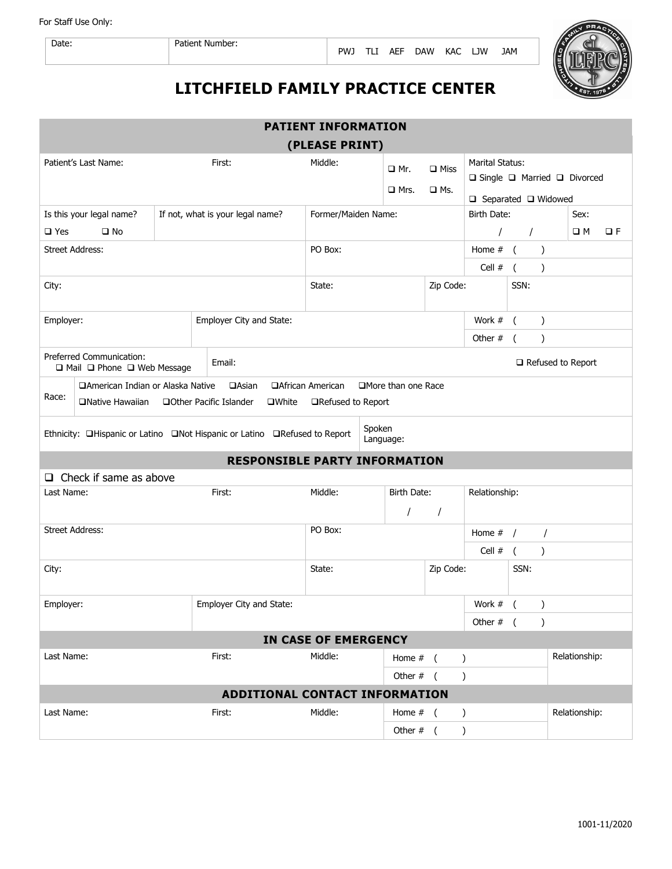For Staff Use Only:



## **LITCHFIELD FAMILY PRACTICE CENTER**

| <b>PATIENT INFORMATION</b>                                                                                                                                                                   |                                        |                                         |                                 |                         |                                                                                 |               |                                  |               |               |  |
|----------------------------------------------------------------------------------------------------------------------------------------------------------------------------------------------|----------------------------------------|-----------------------------------------|---------------------------------|-------------------------|---------------------------------------------------------------------------------|---------------|----------------------------------|---------------|---------------|--|
| (PLEASE PRINT)                                                                                                                                                                               |                                        |                                         |                                 |                         |                                                                                 |               |                                  |               |               |  |
| Patient's Last Name:                                                                                                                                                                         | Middle:                                | $\Box$ Mr.<br>$\Box$ Mrs.               | $\square$ Miss<br>$\square$ Ms. | Marital Status:         | $\Box$ Single $\Box$ Married $\Box$ Divorced<br>$\Box$ Separated $\Box$ Widowed |               |                                  |               |               |  |
| Is this your legal name?                                                                                                                                                                     | Former/Maiden Name:                    |                                         |                                 | Birth Date:<br>Sex:     |                                                                                 |               |                                  |               |               |  |
| $\square$ Yes<br>$\square$ No                                                                                                                                                                |                                        |                                         |                                 |                         | $\prime$                                                                        |               | $\square$ M                      | ПF            |               |  |
| <b>Street Address:</b>                                                                                                                                                                       | PO Box:                                |                                         |                                 | Home $#$ (<br>$\lambda$ |                                                                                 |               |                                  |               |               |  |
|                                                                                                                                                                                              |                                        | Cell $#$<br>$\overline{C}$<br>$\lambda$ |                                 |                         |                                                                                 |               |                                  |               |               |  |
| City:                                                                                                                                                                                        | Zip Code:<br>State:                    |                                         |                                 | SSN:                    |                                                                                 |               |                                  |               |               |  |
| Employer:                                                                                                                                                                                    |                                        | Employer City and State:                |                                 |                         |                                                                                 | Work #        | $\sqrt{2}$                       | $\lambda$     |               |  |
|                                                                                                                                                                                              |                                        |                                         |                                 |                         |                                                                                 |               | Other #<br>$\lambda$<br>$\left($ |               |               |  |
| Preferred Communication:                                                                                                                                                                     | Email:<br>□ Mail □ Phone □ Web Message |                                         |                                 |                         |                                                                                 |               | $\Box$ Refused to Report         |               |               |  |
| □American Indian or Alaska Native<br>□African American<br>□More than one Race<br><b>QAsian</b><br>Race:<br>□Native Hawaiian □Other Pacific Islander<br>$\square$ White<br>□Refused to Report |                                        |                                         |                                 |                         |                                                                                 |               |                                  |               |               |  |
| Spoken<br>Ethnicity: <b>QHispanic or Latino</b> QNot Hispanic or Latino QRefused to Report<br>Language:                                                                                      |                                        |                                         |                                 |                         |                                                                                 |               |                                  |               |               |  |
| <b>RESPONSIBLE PARTY INFORMATION</b>                                                                                                                                                         |                                        |                                         |                                 |                         |                                                                                 |               |                                  |               |               |  |
| $\Box$ Check if same as above                                                                                                                                                                |                                        |                                         |                                 |                         |                                                                                 |               |                                  |               |               |  |
| Last Name:                                                                                                                                                                                   | First:                                 |                                         |                                 | Birth Date:<br>$\prime$ | $\sqrt{2}$                                                                      | Relationship: |                                  |               |               |  |
| <b>Street Address:</b>                                                                                                                                                                       |                                        | PO Box:                                 |                                 |                         | $\prime$<br>Home $#$ /                                                          |               |                                  |               |               |  |
|                                                                                                                                                                                              |                                        |                                         |                                 |                         |                                                                                 | Cell #        | $\sqrt{ }$                       | $\lambda$     |               |  |
| City:                                                                                                                                                                                        |                                        |                                         | Zip Code:<br>State:             |                         |                                                                                 |               | SSN:                             |               |               |  |
|                                                                                                                                                                                              |                                        |                                         |                                 |                         |                                                                                 |               |                                  |               |               |  |
| Employer City and State:<br>Employer:                                                                                                                                                        |                                        |                                         |                                 |                         |                                                                                 |               | $\sqrt{ }$                       | $\lambda$     |               |  |
|                                                                                                                                                                                              |                                        |                                         |                                 | Other $#$ (             |                                                                                 | $\lambda$     |                                  |               |               |  |
| <b>IN CASE OF EMERGENCY</b>                                                                                                                                                                  |                                        |                                         |                                 |                         |                                                                                 |               |                                  |               |               |  |
| Last Name:                                                                                                                                                                                   |                                        | First:                                  | Middle:                         |                         | Home $#$ ( )                                                                    |               |                                  | Relationship: |               |  |
| Other $#$ (<br>$\lambda$                                                                                                                                                                     |                                        |                                         |                                 |                         |                                                                                 |               |                                  |               |               |  |
| ADDITIONAL CONTACT INFORMATION                                                                                                                                                               |                                        |                                         |                                 |                         |                                                                                 |               |                                  |               |               |  |
| Last Name:                                                                                                                                                                                   |                                        | First:                                  | Middle:                         | Home $#$ (              |                                                                                 | $\lambda$     |                                  |               | Relationship: |  |
|                                                                                                                                                                                              |                                        |                                         |                                 | Other $#$ (             |                                                                                 | $\lambda$     |                                  |               |               |  |